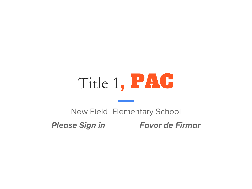# Title 1, PAC

### New Field Elementary School **Please Sign in Favor de Firmar**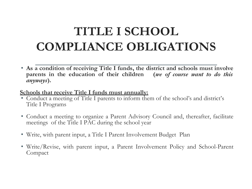### **TITLE I SCHOOL COMPLIANCE OBLIGATIONS**

• **As a condition of receiving Title I funds, the district and schools must involve parents in the education of their children (***we of course want to do this anyways***).**

#### **Schools that receive Title I funds must annually:**

- Conduct a meeting of Title I parents to inform them of the school's and district's Title I Programs
- Conduct a meeting to organize a Parent Advisory Council and, thereafter, facilitate meetings of the Title I PAC during the school year
- Write, with parent input, a Title I Parent Involvement Budget Plan
- Write/Revise, with parent input, a Parent Involvement Policy and School-Parent Compact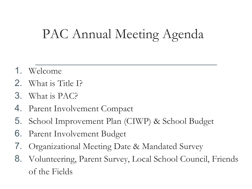## PAC Annual Meeting Agenda

- 1. Welcome
- 2. What is Title I?
- 3. What is PAC?
- 4. Parent Involvement Compact
- 5. School Improvement Plan (CIWP) & School Budget
- 6. Parent Involvement Budget
- 7. Organizational Meeting Date & Mandated Survey
- 8. Volunteering, Parent Survey, Local School Council, Friends of the Fields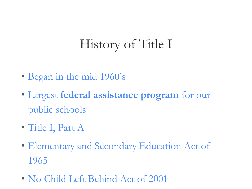### History of Title I

- Began in the mid 1960's
- Largest **federal assistance program** for our public schools
- Title I, Part A
- Elementary and Secondary Education Act of 1965
- No Child Left Behind Act of 2001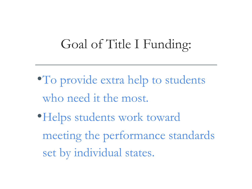### Goal of Title I Funding:

- To provide extra help to students who need it the most.
- •Helps students work toward meeting the performance standards set by individual states.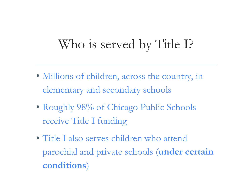### Who is served by Title I?

- Millions of children, across the country, in elementary and secondary schools
- Roughly 98% of Chicago Public Schools receive Title I funding
- Title I also serves children who attend parochial and private schools (**under certain conditions**)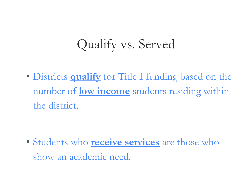### Qualify vs. Served

• Districts **qualify** for Title I funding based on the number of **low income** students residing within the district.

• Students who **receive services** are those who show an academic need.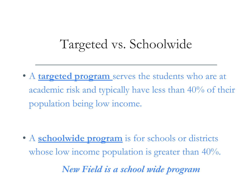### Targeted vs. Schoolwide

• A **targeted program** serves the students who are at academic risk and typically have less than 40% of their population being low income.

• A **schoolwide program** is for schools or districts whose low income population is greater than 40%.

*New Field is a school wide program*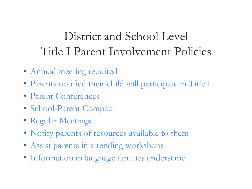### District and School Level Title I Parent Involvement Policies

- Annual meeting required
- Parents notified their child will participate in Title I
- Parent Conferences
- School-Parent Compact
- Regular Meetings
- Notify parents of resources available to them
- Assist parents in attending workshops
- Information in language families understand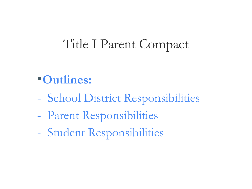### Title I Parent Compact

### •**Outlines:**

- School District Responsibilities
- Parent Responsibilities
- Student Responsibilities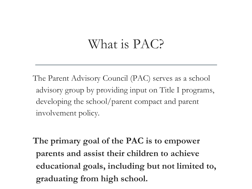### What is PAC?

The Parent Advisory Council (PAC) serves as a school advisory group by providing input on Title I programs, developing the school/parent compact and parent involvement policy.

**The primary goal of the PAC is to empower parents and assist their children to achieve educational goals, including but not limited to, graduating from high school.**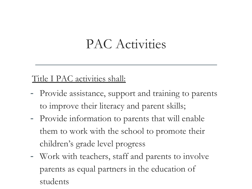### PAC Activities

#### Title I PAC activities shall:

- Provide assistance, support and training to parents to improve their literacy and parent skills;
- Provide information to parents that will enable them to work with the school to promote their children's grade level progress
- Work with teachers, staff and parents to involve parents as equal partners in the education of students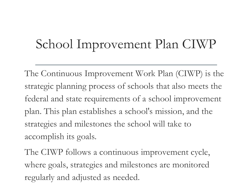### School Improvement Plan CIWP

The Continuous Improvement Work Plan (CIWP) is the strategic planning process of schools that also meets the federal and state requirements of a school improvement plan. This plan establishes a school's mission, and the strategies and milestones the school will take to accomplish its goals.

The CIWP follows a continuous improvement cycle, where goals, strategies and milestones are monitored regularly and adjusted as needed.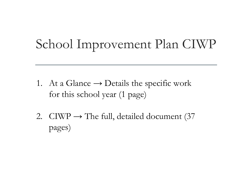### School Improvement Plan CIWP

- 1. At a Glance  $\rightarrow$  Details the specific work for this school year (1 page)
- 2. CIWP  $\rightarrow$  The full, detailed document (37 pages)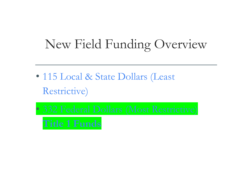### New Field Funding Overview

- 115 Local & State Dollars (Least Restrictive)
- 332 Federal Dollars (Most Restrictive)

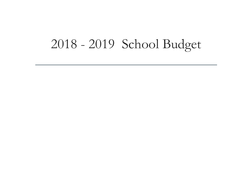### 2018 - 2019 School Budget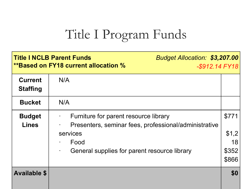### Title I Program Funds

| <b>Title I NCLB Parent Funds</b><br><b>Budget Allocation: \$3,207.00</b><br><b>**Based on FY18 current allocation %</b><br>$-$ \$912.14 FY18 |                                                                                                                                                                    |                                        |
|----------------------------------------------------------------------------------------------------------------------------------------------|--------------------------------------------------------------------------------------------------------------------------------------------------------------------|----------------------------------------|
| <b>Current</b><br><b>Staffing</b>                                                                                                            | N/A                                                                                                                                                                |                                        |
| <b>Bucket</b>                                                                                                                                | N/A                                                                                                                                                                |                                        |
| <b>Budget</b><br><b>Lines</b>                                                                                                                | Furniture for parent resource library<br>Presenters, seminar fees, professional/administrative<br>services<br>Food<br>General supplies for parent resource library | \$771<br>\$1,2<br>18<br>\$352<br>\$866 |
| <b>Available \$</b>                                                                                                                          |                                                                                                                                                                    | \$0                                    |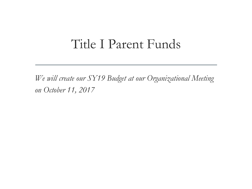### Title I Parent Funds

*We will create our SY19 Budget at our Organizational Meeting on October 11, 2017*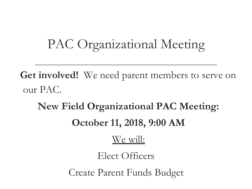### PAC Organizational Meeting

**Get involved!** We need parent members to serve on our PAC.

**New Field Organizational PAC Meeting: October 11, 2018, 9:00 AM** 

#### We will:

Elect Officers

Create Parent Funds Budget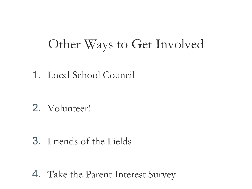### Other Ways to Get Involved

1. Local School Council

2. Volunteer!

#### 3. Friends of the Fields

4. Take the Parent Interest Survey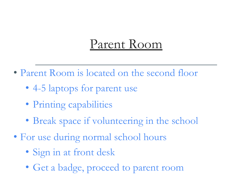### Parent Room

- Parent Room is located on the second floor
	- 4-5 laptops for parent use
	- Printing capabilities
	- Break space if volunteering in the school
- For use during normal school hours
	- Sign in at front desk
	- Get a badge, proceed to parent room